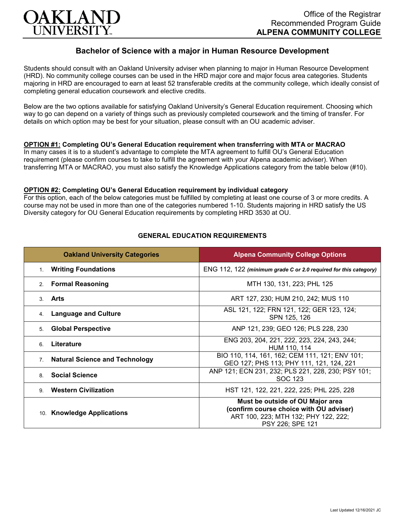

# **Bachelor of Science with a major in Human Resource Development**

Students should consult with an Oakland University adviser when planning to major in Human Resource Development (HRD). No community college courses can be used in the HRD major core and major focus area categories. Students majoring in HRD are encouraged to earn at least 52 transferable credits at the community college, which ideally consist of completing general education coursework and elective credits.

Below are the two options available for satisfying Oakland University's General Education requirement. Choosing which way to go can depend on a variety of things such as previously completed coursework and the timing of transfer. For details on which option may be best for your situation, please consult with an OU academic adviser.

#### **OPTION #1: Completing OU's General Education requirement when transferring with MTA or MACRAO**

In many cases it is to a student's advantage to complete the MTA agreement to fulfill OU's General Education requirement (please confirm courses to take to fulfill the agreement with your Alpena academic adviser). When transferring MTA or MACRAO, you must also satisfy the Knowledge Applications category from the table below (#10).

#### **OPTION #2: Completing OU's General Education requirement by individual category**

For this option, each of the below categories must be fulfilled by completing at least one course of 3 or more credits. A course may not be used in more than one of the categories numbered 1-10. Students majoring in HRD satisfy the US Diversity category for OU General Education requirements by completing HRD 3530 at OU.

| <b>Oakland University Categories</b>                    | <b>Alpena Community College Options</b>                                                                                                 |
|---------------------------------------------------------|-----------------------------------------------------------------------------------------------------------------------------------------|
| <b>Writing Foundations</b><br>1.                        | ENG 112, 122 (minimum grade C or 2.0 required for this category)                                                                        |
| <b>Formal Reasoning</b><br>2 <sub>1</sub>               | MTH 130, 131, 223; PHL 125                                                                                                              |
| 3. Arts                                                 | ART 127, 230; HUM 210, 242; MUS 110                                                                                                     |
| <b>Language and Culture</b><br>4.                       | ASL 121, 122; FRN 121, 122; GER 123, 124;<br>SPN 125, 126                                                                               |
| <b>Global Perspective</b><br>5.                         | ANP 121, 239; GEO 126; PLS 228, 230                                                                                                     |
| Literature<br>6                                         | ENG 203, 204, 221, 222, 223, 224, 243, 244;<br>HUM 110, 114                                                                             |
| <b>Natural Science and Technology</b><br>7 <sub>1</sub> | BIO 110, 114, 161, 162; CEM 111, 121; ENV 101;<br>GEO 127; PHS 113; PHY 111, 121, 124, 221                                              |
| <b>Social Science</b><br>8                              | ANP 121; ECN 231, 232; PLS 221, 228, 230; PSY 101;<br>SOC 123                                                                           |
| <b>Western Civilization</b><br>9                        | HST 121, 122, 221, 222, 225; PHL 225, 228                                                                                               |
| 10. Knowledge Applications                              | Must be outside of OU Major area<br>(confirm course choice with OU adviser)<br>ART 100, 223; MTH 132; PHY 122, 222;<br>PSY 226; SPE 121 |

### **GENERAL EDUCATION REQUIREMENTS**